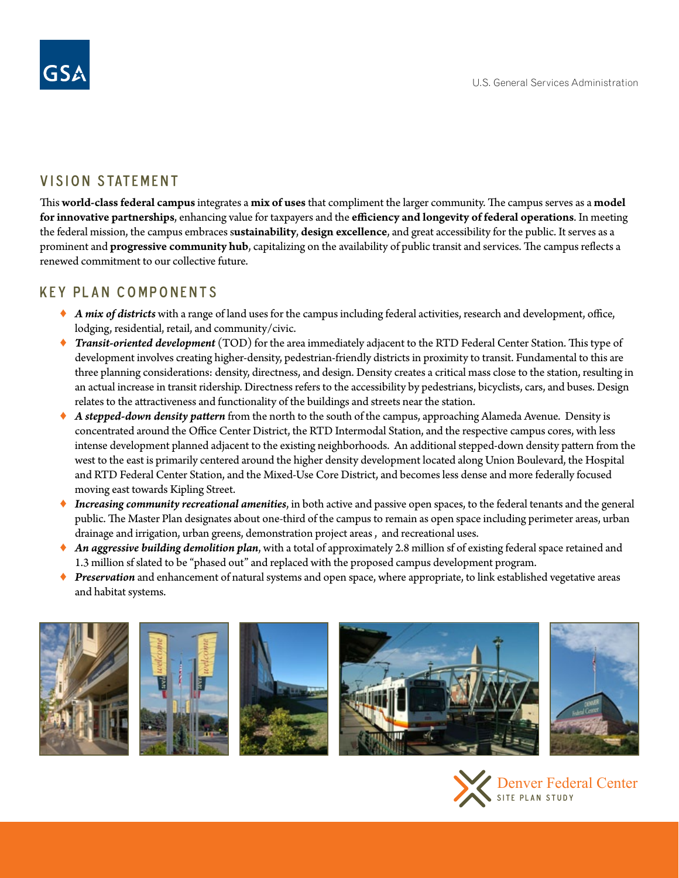## **VISION STATEMENT**

This world-class federal campus integrates a mix of uses that compliment the larger community. The campus serves as a model for innovative partnerships, enhancing value for taxpayers and the efficiency and longevity of federal operations. In meeting the federal mission, the campus embraces sustainability, design excellence, and great accessibility for the public. It serves as a prominent and progressive community hub, capitalizing on the availability of public transit and services. The campus reflects a renewed commitment to our collective future.

## KFY PLAN COMPONENTS

- ◆ *A mix of districts* with a range of land uses for the campus including federal activities, research and development, office, lodging, residential, retail, and community/civic.
- ♦ *Transit-oriented development* (TOD) for the area immediately adjacent to the RTD Federal Center Station. This type of development involves creating higher-density, pedestrian-friendly districts in proximity to transit. Fundamental to this are three planning considerations: density, directness, and design. Density creates a critical mass close to the station, resulting in an actual increase in transit ridership. Directness refers to the accessibility by pedestrians, bicyclists, cars, and buses. Design relates to the attractiveness and functionality of the buildings and streets near the station.
- ♦ *A stepped-down density pattern* from the north to the south of the campus, approaching Alameda Avenue. Density is concentrated around the Office Center District, the RTD Intermodal Station, and the respective campus cores, with less intense development planned adjacent to the existing neighborhoods. An additional stepped-down density pattern from the west to the east is primarily centered around the higher density development located along Union Boulevard, the Hospital and RTD Federal Center Station, and the Mixed-Use Core District, and becomes less dense and more federally focused moving east towards Kipling Street.
- ♦ *Increasing community recreational amenities*, in both active and passive open spaces, to the federal tenants and the general public. The Master Plan designates about one-third of the campus to remain as open space including perimeter areas, urban drainage and irrigation, urban greens, demonstration project areas , and recreational uses.
- An aggressive building demolition plan, with a total of approximately 2.8 million sf of existing federal space retained and 1.3 million sf slated to be "phased out" and replaced with the proposed campus development program.
- ◆ *Preservation* and enhancement of natural systems and open space, where appropriate, to link established vegetative areas and habitat systems.